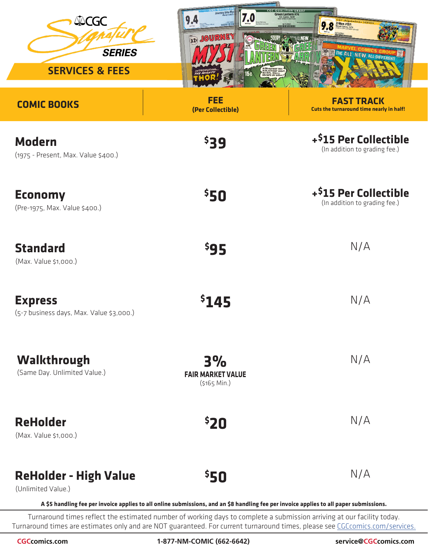| <b>ANCGC</b><br><b>SERIES</b><br><b>SERVICES &amp; FEES</b> | Journey Into Mys<br>7.0<br>$\mathbf{u}$<br>129 JOURNEY<br>IN BRIGHTEST DAY<br>IN BLACKEST NIG<br>NO EVIL SHALL<br>ESCAPE MY SIGHT | QUALIFIED GRADE<br>Green Lantern #76<br><b>CGC Signature SERIES</b><br>X-Men #101<br>Marvel Comics, 10/76<br>Marvel Comics, 10/76<br>9.8<br><b>30° MI THE ALL NEW ALL DIFFERENT</b> |
|-------------------------------------------------------------|-----------------------------------------------------------------------------------------------------------------------------------|-------------------------------------------------------------------------------------------------------------------------------------------------------------------------------------|
| <b>COMIC BOOKS</b>                                          | <b>FEE</b><br>(Per Collectible)                                                                                                   | <b>FAST TRACK</b><br>Cuts the turnaround time nearly in half!                                                                                                                       |
| <b>Modern</b><br>(1975 - Present, Max. Value \$400.)        | \$39                                                                                                                              | + <sup>\$</sup> 15 Per Collectible<br>(In addition to grading fee.)                                                                                                                 |
| <b>Economy</b><br>(Pre-1975, Max. Value \$400.)             | \$50                                                                                                                              | + <sup>\$</sup> 15 Per Collectible<br>(In addition to grading fee.)                                                                                                                 |
| <b>Standard</b><br>(Max. Value \$1,000.)                    | \$95                                                                                                                              | N/A                                                                                                                                                                                 |
| <b>Express</b><br>(5-7 business days, Max. Value \$3,000.)  | \$145                                                                                                                             | N/A                                                                                                                                                                                 |
| <b>Walkthrough</b><br>(Same Day. Unlimited Value.)          | 3%<br><b>FAIR MARKET VALUE</b><br>$(5165$ Min.)                                                                                   | N/A                                                                                                                                                                                 |
| <b>ReHolder</b><br>(Max. Value \$1,000.)                    | \$20                                                                                                                              | N/A                                                                                                                                                                                 |
| <b>ReHolder - High Value</b><br>(Unlimited Value.)          | \$50                                                                                                                              | N/A                                                                                                                                                                                 |

**A \$5 handling fee per invoice applies to all online submissions, and an \$8 handling fee per invoice applies to all paper submissions.**

Turnaround times reflect the estimated number of working days to complete a submission arriving at our facility today. Turnaround times are estimates only and are NOT guaranteed. For current turnaround times, please see CGCcomics.com/services.

**CGCcomics.com 1-877-NM-COMIC (662-6642)**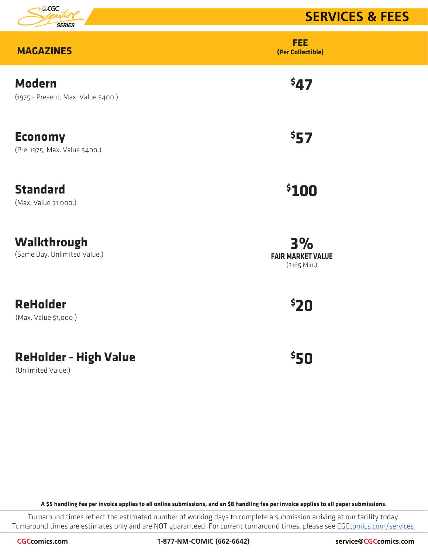

# **SERVICES & FEES**

| <b>MAGAZINES</b>                                     | <b>FEE</b><br>(Per Collectible)                |
|------------------------------------------------------|------------------------------------------------|
| <b>Modern</b><br>(1975 - Present, Max. Value \$400.) | 547                                            |
| <b>Economy</b><br>(Pre-1975, Max. Value \$400.)      | 557                                            |
| <b>Standard</b><br>(Max. Value \$1,000.)             | \$100                                          |
| Walkthrough<br>(Same Day. Unlimited Value.)          | 3%<br><b>FAIR MARKET VALUE</b><br>(\$165 Min.) |
| <b>ReHolder</b><br>(Max. Value \$1,000.)             | \$20                                           |
| <b>ReHolder - High Value</b>                         | 550                                            |

(Unlimited Value.)

**A \$5 handling fee per invoice applies to all online submissions, and an \$8 handling fee per invoice applies to all paper submissions.**

Turnaround times reflect the estimated number of working days to complete a submission arriving at our facility today. Turnaround times are estimates only and are NOT guaranteed. For current turnaround times, please see CGCcomics.com/services.

**CGCcomics.com 1-877-NM-COMIC (662-6642) service@CGCcomics.com**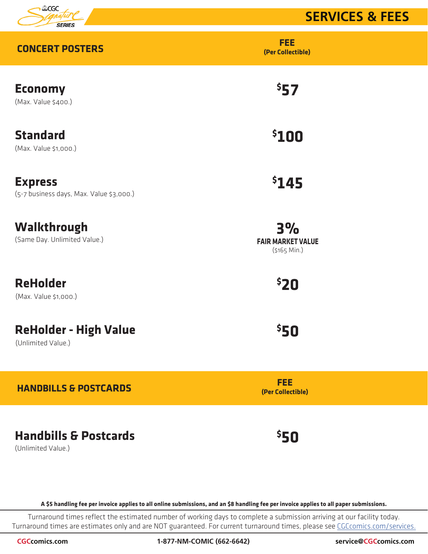

# **SERVICES & FEES**

| <b>CONCERT POSTERS</b>                                     | <b>FEE</b><br>(Per Collectible)                 |
|------------------------------------------------------------|-------------------------------------------------|
| <b>Economy</b><br>(Max. Value \$400.)                      | \$57                                            |
| <b>Standard</b><br>(Max. Value \$1,000.)                   | \$100                                           |
| <b>Express</b><br>(5-7 business days, Max. Value \$3,000.) | \$145                                           |
| Walkthrough<br>(Same Day. Unlimited Value.)                | 3%<br><b>FAIR MARKET VALUE</b><br>$(5165$ Min.) |
| <b>ReHolder</b><br>(Max. Value \$1,000.)                   | <b>520</b>                                      |
| <b>ReHolder - High Value</b><br>(Unlimited Value.)         | <b>550</b>                                      |
| <b>HANDBILLS &amp; POSTCARDS</b>                           | <b>FEE</b><br>(Per Collectible)                 |
|                                                            |                                                 |

**Handbills & Postcards** (Unlimited Value.)

**A \$5 handling fee per invoice applies to all online submissions, and an \$8 handling fee per invoice applies to all paper submissions.**

**\$ 50**

Turnaround times reflect the estimated number of working days to complete a submission arriving at our facility today. Turnaround times are estimates only and are NOT guaranteed. For current turnaround times, please see CGCcomics.com/services.

**CGCcomics.com 1-877-NM-COMIC (662-6642) service@CGCcomics.com**